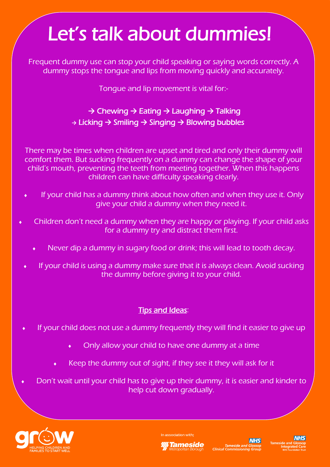## Let's talk about dummies!

Frequent dummy use can stop your child speaking or saying words correctly. A dummy stops the tongue and lips from moving quickly and accurately.

Tongue and lip movement is vital for:-

## **→** Chewing **→** Eating **→** Laughing **→** Talking **→** Licking **→** Smiling **→** Singing **→** Blowing bubbles

There may be times when children are upset and tired and only their dummy will comfort them. But sucking frequently on a dummy can change the shape of your child's mouth, preventing the teeth from meeting together. When this happens children can have difficulty speaking clearly.

- If your child has a dummy think about how often and when they use it. Only give your child a dummy when they need it.
- Children don't need a dummy when they are happy or playing. If your child asks for a dummy try and distract them first.
	- Never dip a dummy in sugary food or drink; this will lead to tooth decay.
	- If your child is using a dummy make sure that it is always clean. Avoid sucking the dummy before giving it to your child.

## Tips and Ideas:

- If your child does not use a dummy frequently they will find it easier to give up
	- Only allow your child to have one dummy at a time
	- Keep the dummy out of sight, if they see it they will ask for it
- Don't wait until your child has to give up their dummy, it is easier and kinder to help cut down gradually.



In association with: